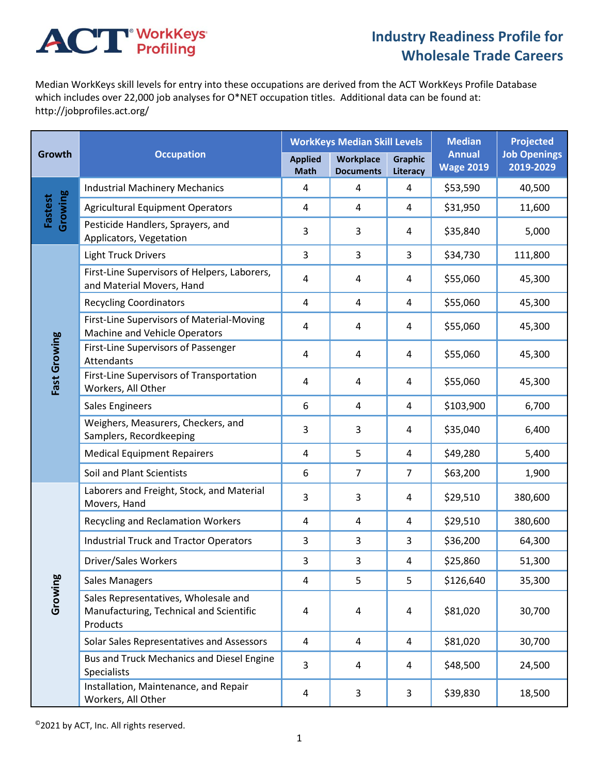## **ACT** WorkKeys

## **Industry Readiness Profile for Wholesale Trade Careers**

Median WorkKeys skill levels for entry into these occupations are derived from the ACT WorkKeys Profile Database which includes over 22,000 job analyses for O\*NET occupation titles. Additional data can be found at: http://jobprofiles.act.org/

| <b>Growth</b>      | <b>Occupation</b>                                                                           | <b>WorkKeys Median Skill Levels</b> |                                      |                            | <b>Median</b>                     | <b>Projected</b>                 |
|--------------------|---------------------------------------------------------------------------------------------|-------------------------------------|--------------------------------------|----------------------------|-----------------------------------|----------------------------------|
|                    |                                                                                             | <b>Applied</b><br><b>Math</b>       | <b>Workplace</b><br><b>Documents</b> | <b>Graphic</b><br>Literacy | <b>Annual</b><br><b>Wage 2019</b> | <b>Job Openings</b><br>2019-2029 |
| Growing<br>Fastest | <b>Industrial Machinery Mechanics</b>                                                       | 4                                   | 4                                    | 4                          | \$53,590                          | 40,500                           |
|                    | <b>Agricultural Equipment Operators</b>                                                     | 4                                   | 4                                    | 4                          | \$31,950                          | 11,600                           |
|                    | Pesticide Handlers, Sprayers, and<br>Applicators, Vegetation                                | 3                                   | 3                                    | 4                          | \$35,840                          | 5,000                            |
| Fast Growing       | <b>Light Truck Drivers</b>                                                                  | 3                                   | 3                                    | 3                          | \$34,730                          | 111,800                          |
|                    | First-Line Supervisors of Helpers, Laborers,<br>and Material Movers, Hand                   | 4                                   | 4                                    | 4                          | \$55,060                          | 45,300                           |
|                    | <b>Recycling Coordinators</b>                                                               | 4                                   | 4                                    | 4                          | \$55,060                          | 45,300                           |
|                    | First-Line Supervisors of Material-Moving<br>Machine and Vehicle Operators                  | 4                                   | 4                                    | 4                          | \$55,060                          | 45,300                           |
|                    | First-Line Supervisors of Passenger<br>Attendants                                           | 4                                   | 4                                    | 4                          | \$55,060                          | 45,300                           |
|                    | First-Line Supervisors of Transportation<br>Workers, All Other                              | 4                                   | 4                                    | 4                          | \$55,060                          | 45,300                           |
|                    | <b>Sales Engineers</b>                                                                      | 6                                   | 4                                    | 4                          | \$103,900                         | 6,700                            |
|                    | Weighers, Measurers, Checkers, and<br>Samplers, Recordkeeping                               | 3                                   | 3                                    | 4                          | \$35,040                          | 6,400                            |
|                    | <b>Medical Equipment Repairers</b>                                                          | 4                                   | 5                                    | 4                          | \$49,280                          | 5,400                            |
|                    | Soil and Plant Scientists                                                                   | 6                                   | $\overline{7}$                       | $\overline{7}$             | \$63,200                          | 1,900                            |
| Growing            | Laborers and Freight, Stock, and Material<br>Movers, Hand                                   | 3                                   | 3                                    | 4                          | \$29,510                          | 380,600                          |
|                    | <b>Recycling and Reclamation Workers</b>                                                    | 4                                   | 4                                    | 4                          | \$29,510                          | 380,600                          |
|                    | <b>Industrial Truck and Tractor Operators</b>                                               | 3                                   | 3                                    | 3                          | \$36,200                          | 64,300                           |
|                    | Driver/Sales Workers                                                                        | 3                                   | 3                                    | 4                          | \$25,860                          | 51,300                           |
|                    | <b>Sales Managers</b>                                                                       | 4                                   | 5                                    | 5                          | \$126,640                         | 35,300                           |
|                    | Sales Representatives, Wholesale and<br>Manufacturing, Technical and Scientific<br>Products | 4                                   | 4                                    | 4                          | \$81,020                          | 30,700                           |
|                    | Solar Sales Representatives and Assessors                                                   | 4                                   | 4                                    | 4                          | \$81,020                          | 30,700                           |
|                    | Bus and Truck Mechanics and Diesel Engine<br>Specialists                                    | 3                                   | 4                                    | 4                          | \$48,500                          | 24,500                           |
|                    | Installation, Maintenance, and Repair<br>Workers, All Other                                 | 4                                   | 3                                    | 3                          | \$39,830                          | 18,500                           |

©2021 by ACT, Inc. All rights reserved.